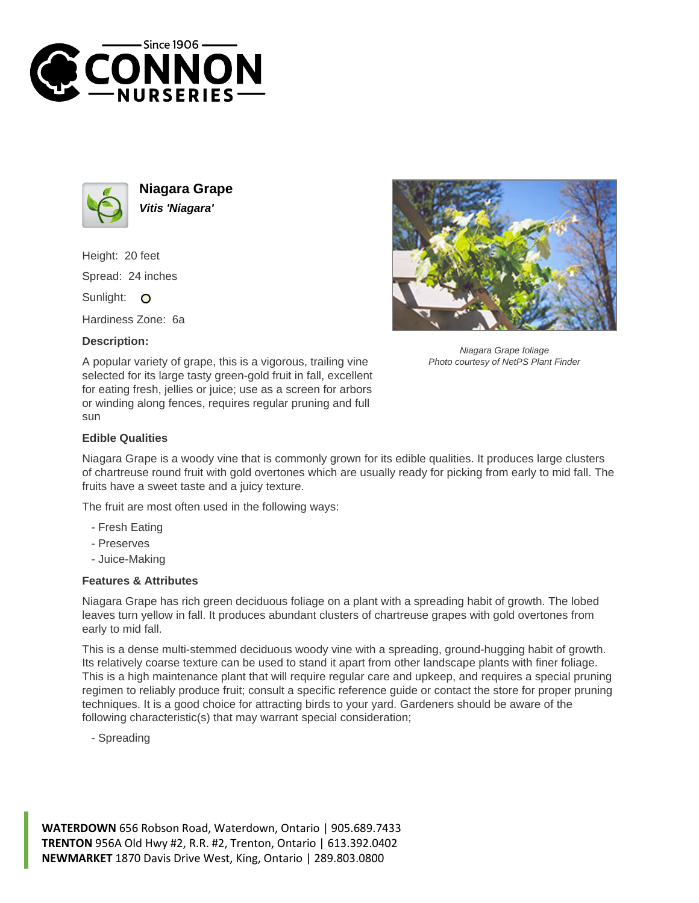



**Niagara Grape Vitis 'Niagara'**

Height: 20 feet Spread: 24 inches Sunlight: O

Hardiness Zone: 6a

## **Description:**



Niagara Grape foliage Photo courtesy of NetPS Plant Finder

A popular variety of grape, this is a vigorous, trailing vine selected for its large tasty green-gold fruit in fall, excellent for eating fresh, jellies or juice; use as a screen for arbors or winding along fences, requires regular pruning and full sun

## **Edible Qualities**

Niagara Grape is a woody vine that is commonly grown for its edible qualities. It produces large clusters of chartreuse round fruit with gold overtones which are usually ready for picking from early to mid fall. The fruits have a sweet taste and a juicy texture.

The fruit are most often used in the following ways:

- Fresh Eating
- Preserves
- Juice-Making

## **Features & Attributes**

Niagara Grape has rich green deciduous foliage on a plant with a spreading habit of growth. The lobed leaves turn yellow in fall. It produces abundant clusters of chartreuse grapes with gold overtones from early to mid fall.

This is a dense multi-stemmed deciduous woody vine with a spreading, ground-hugging habit of growth. Its relatively coarse texture can be used to stand it apart from other landscape plants with finer foliage. This is a high maintenance plant that will require regular care and upkeep, and requires a special pruning regimen to reliably produce fruit; consult a specific reference guide or contact the store for proper pruning techniques. It is a good choice for attracting birds to your yard. Gardeners should be aware of the following characteristic(s) that may warrant special consideration;

- Spreading

**WATERDOWN** 656 Robson Road, Waterdown, Ontario | 905.689.7433 **TRENTON** 956A Old Hwy #2, R.R. #2, Trenton, Ontario | 613.392.0402 **NEWMARKET** 1870 Davis Drive West, King, Ontario | 289.803.0800